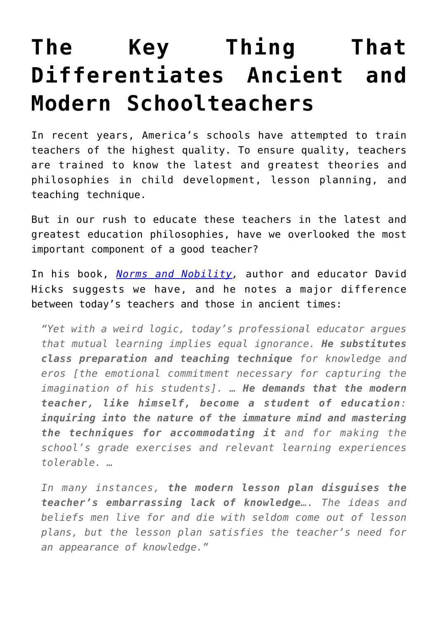## **[The Key Thing That](https://intellectualtakeout.org/2016/05/the-key-thing-that-differentiates-ancient-and-modern-schoolteachers/) [Differentiates Ancient and](https://intellectualtakeout.org/2016/05/the-key-thing-that-differentiates-ancient-and-modern-schoolteachers/) [Modern Schoolteachers](https://intellectualtakeout.org/2016/05/the-key-thing-that-differentiates-ancient-and-modern-schoolteachers/)**

In recent years, America's schools have attempted to train teachers of the highest quality. To ensure quality, teachers are trained to know the latest and greatest theories and philosophies in child development, lesson planning, and teaching technique.

But in our rush to educate these teachers in the latest and greatest education philosophies, have we overlooked the most important component of a good teacher?

In his book, *[Norms and Nobility,](http://www.amazon.com/gp/product/0761814671/ref=as_li_qf_sp_asin_il_tl?ie=UTF8&camp=1789&creative=9325&creativeASIN=0761814671&linkCode=as2&tag=intelltakeo0d-20&linkId=MRZPMAWQNUMJEJHB)* author and educator David Hicks suggests we have, and he notes a major difference between today's teachers and those in ancient times:

*"Yet with a weird logic, today's professional educator argues that mutual learning implies equal ignorance. He substitutes class preparation and teaching technique for knowledge and eros [the emotional commitment necessary for capturing the imagination of his students]. … He demands that the modern teacher, like himself, become a student of education: inquiring into the nature of the immature mind and mastering the techniques for accommodating it and for making the school's grade exercises and relevant learning experiences tolerable. …*

*In many instances, the modern lesson plan disguises the teacher's embarrassing lack of knowledge…. The ideas and beliefs men live for and die with seldom come out of lesson plans, but the lesson plan satisfies the teacher's need for an appearance of knowledge."*